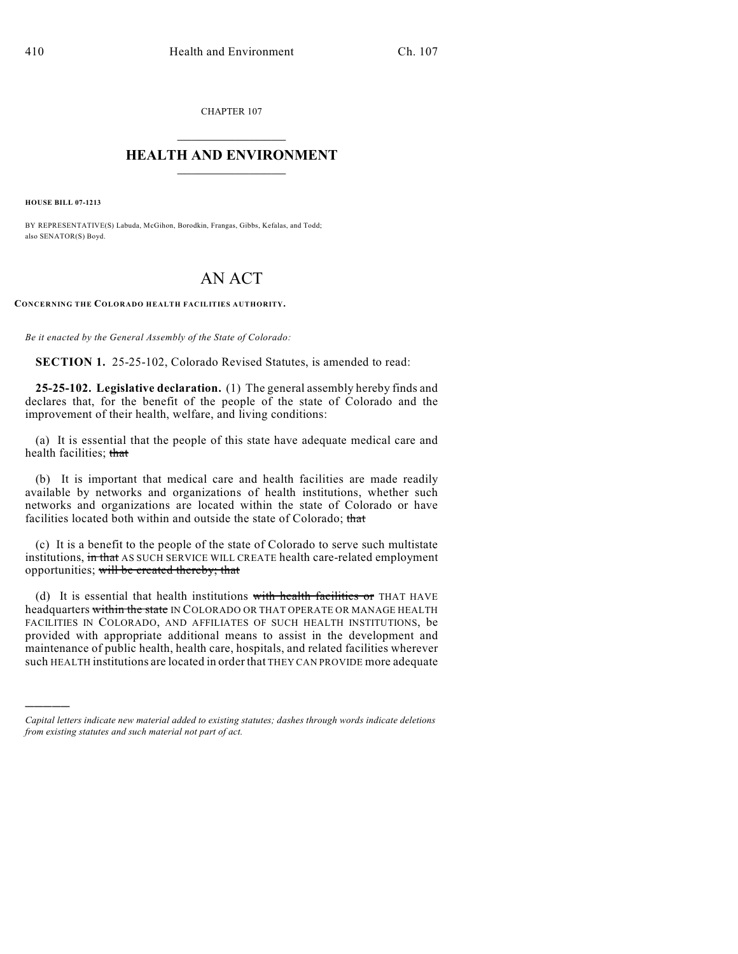CHAPTER 107

## $\mathcal{L}_\text{max}$  . The set of the set of the set of the set of the set of the set of the set of the set of the set of the set of the set of the set of the set of the set of the set of the set of the set of the set of the set **HEALTH AND ENVIRONMENT**  $\_$

**HOUSE BILL 07-1213**

)))))

BY REPRESENTATIVE(S) Labuda, McGihon, Borodkin, Frangas, Gibbs, Kefalas, and Todd; also SENATOR(S) Boyd.

# AN ACT

**CONCERNING THE COLORADO HEALTH FACILITIES AUTHORITY.**

*Be it enacted by the General Assembly of the State of Colorado:*

**SECTION 1.** 25-25-102, Colorado Revised Statutes, is amended to read:

**25-25-102. Legislative declaration.** (1) The general assembly hereby finds and declares that, for the benefit of the people of the state of Colorado and the improvement of their health, welfare, and living conditions:

(a) It is essential that the people of this state have adequate medical care and health facilities; that

(b) It is important that medical care and health facilities are made readily available by networks and organizations of health institutions, whether such networks and organizations are located within the state of Colorado or have facilities located both within and outside the state of Colorado; that

(c) It is a benefit to the people of the state of Colorado to serve such multistate institutions, in that AS SUCH SERVICE WILL CREATE health care-related employment opportunities; will be created thereby; that

(d) It is essential that health institutions with health facilities or THAT HAVE headquarters within the state IN COLORADO OR THAT OPERATE OR MANAGE HEALTH FACILITIES IN COLORADO, AND AFFILIATES OF SUCH HEALTH INSTITUTIONS, be provided with appropriate additional means to assist in the development and maintenance of public health, health care, hospitals, and related facilities wherever such HEALTH institutions are located in order that THEY CAN PROVIDE more adequate

*Capital letters indicate new material added to existing statutes; dashes through words indicate deletions from existing statutes and such material not part of act.*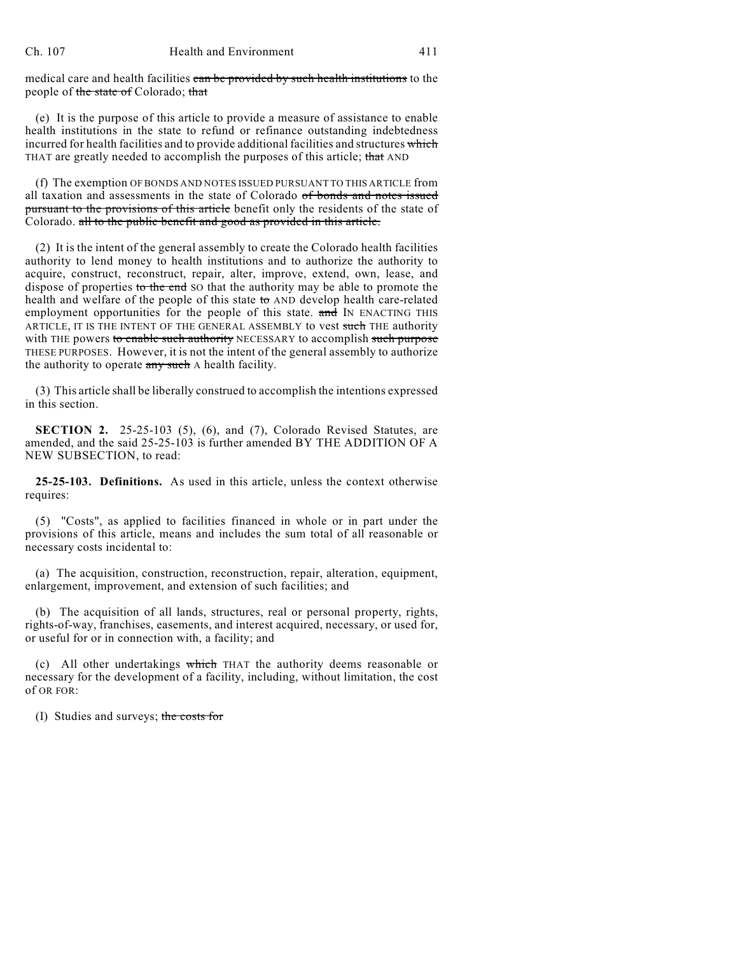medical care and health facilities can be provided by such health institutions to the people of the state of Colorado; that

(e) It is the purpose of this article to provide a measure of assistance to enable health institutions in the state to refund or refinance outstanding indebtedness incurred for health facilities and to provide additional facilities and structures which THAT are greatly needed to accomplish the purposes of this article; that AND

(f) The exemption OFBONDS AND NOTES ISSUED PURSUANT TO THIS ARTICLE from all taxation and assessments in the state of Colorado of bonds and notes issued pursuant to the provisions of this article benefit only the residents of the state of Colorado. all to the public benefit and good as provided in this article.

(2) It is the intent of the general assembly to create the Colorado health facilities authority to lend money to health institutions and to authorize the authority to acquire, construct, reconstruct, repair, alter, improve, extend, own, lease, and dispose of properties to the end SO that the authority may be able to promote the health and welfare of the people of this state to AND develop health care-related employment opportunities for the people of this state. and IN ENACTING THIS ARTICLE, IT IS THE INTENT OF THE GENERAL ASSEMBLY to vest such THE authority with THE powers to enable such authority NECESSARY to accomplish such purpose THESE PURPOSES. However, it is not the intent of the general assembly to authorize the authority to operate any such A health facility.

(3) This article shall be liberally construed to accomplish the intentions expressed in this section.

**SECTION 2.** 25-25-103 (5), (6), and (7), Colorado Revised Statutes, are amended, and the said 25-25-103 is further amended BY THE ADDITION OF A NEW SUBSECTION, to read:

**25-25-103. Definitions.** As used in this article, unless the context otherwise requires:

(5) "Costs", as applied to facilities financed in whole or in part under the provisions of this article, means and includes the sum total of all reasonable or necessary costs incidental to:

(a) The acquisition, construction, reconstruction, repair, alteration, equipment, enlargement, improvement, and extension of such facilities; and

(b) The acquisition of all lands, structures, real or personal property, rights, rights-of-way, franchises, easements, and interest acquired, necessary, or used for, or useful for or in connection with, a facility; and

(c) All other undertakings which THAT the authority deems reasonable or necessary for the development of a facility, including, without limitation, the cost of OR FOR:

(I) Studies and surveys; the costs for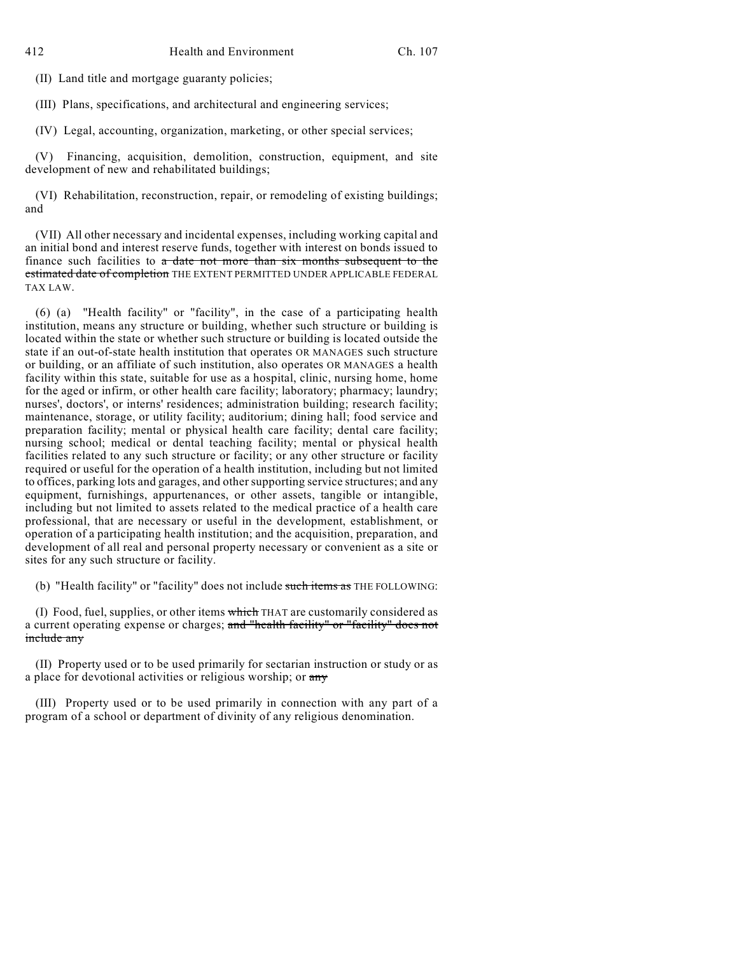(II) Land title and mortgage guaranty policies;

(III) Plans, specifications, and architectural and engineering services;

(IV) Legal, accounting, organization, marketing, or other special services;

(V) Financing, acquisition, demolition, construction, equipment, and site development of new and rehabilitated buildings;

(VI) Rehabilitation, reconstruction, repair, or remodeling of existing buildings; and

(VII) All other necessary and incidental expenses, including working capital and an initial bond and interest reserve funds, together with interest on bonds issued to finance such facilities to a date not more than six months subsequent to the estimated date of completion THE EXTENT PERMITTED UNDER APPLICABLE FEDERAL TAX LAW.

(6) (a) "Health facility" or "facility", in the case of a participating health institution, means any structure or building, whether such structure or building is located within the state or whether such structure or building is located outside the state if an out-of-state health institution that operates OR MANAGES such structure or building, or an affiliate of such institution, also operates OR MANAGES a health facility within this state, suitable for use as a hospital, clinic, nursing home, home for the aged or infirm, or other health care facility; laboratory; pharmacy; laundry; nurses', doctors', or interns' residences; administration building; research facility; maintenance, storage, or utility facility; auditorium; dining hall; food service and preparation facility; mental or physical health care facility; dental care facility; nursing school; medical or dental teaching facility; mental or physical health facilities related to any such structure or facility; or any other structure or facility required or useful for the operation of a health institution, including but not limited to offices, parking lots and garages, and other supporting service structures; and any equipment, furnishings, appurtenances, or other assets, tangible or intangible, including but not limited to assets related to the medical practice of a health care professional, that are necessary or useful in the development, establishment, or operation of a participating health institution; and the acquisition, preparation, and development of all real and personal property necessary or convenient as a site or sites for any such structure or facility.

(b) "Health facility" or "facility" does not include such items as THE FOLLOWING:

(I) Food, fuel, supplies, or other items which THAT are customarily considered as a current operating expense or charges; and "health facility" or "facility" does not include any

(II) Property used or to be used primarily for sectarian instruction or study or as a place for devotional activities or religious worship; or  $\frac{1}{2}$ 

(III) Property used or to be used primarily in connection with any part of a program of a school or department of divinity of any religious denomination.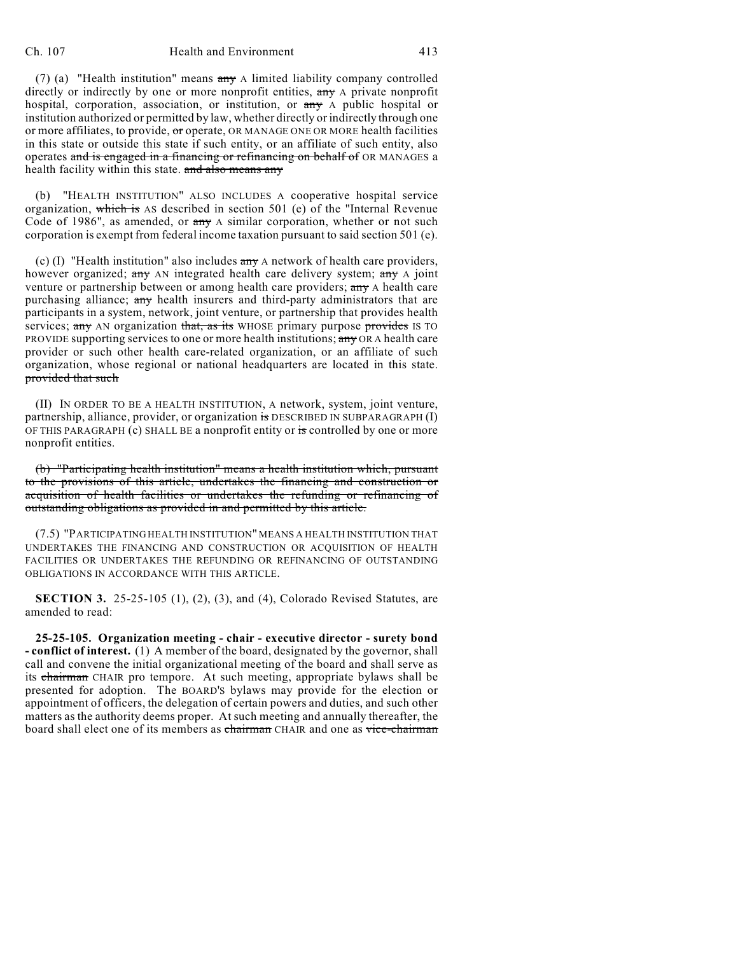(7) (a) "Health institution" means any A limited liability company controlled directly or indirectly by one or more nonprofit entities, any A private nonprofit hospital, corporation, association, or institution, or  $\frac{a}{a}$  A public hospital or institution authorized or permitted by law, whether directly or indirectly through one or more affiliates, to provide, or operate, OR MANAGE ONE OR MORE health facilities in this state or outside this state if such entity, or an affiliate of such entity, also operates and is engaged in a financing or refinancing on behalf of OR MANAGES a health facility within this state. and also means any

(b) "HEALTH INSTITUTION" ALSO INCLUDES A cooperative hospital service organization, which is AS described in section 501 (e) of the "Internal Revenue Code of 1986", as amended, or  $\frac{a}{x}$  A similar corporation, whether or not such corporation is exempt from federal income taxation pursuant to said section 501 (e).

(c) (I) "Health institution" also includes  $\frac{d}{dx}$  a network of health care providers, however organized; any AN integrated health care delivery system;  $\frac{1}{2}$  any A joint venture or partnership between or among health care providers; any A health care purchasing alliance; any health insurers and third-party administrators that are participants in a system, network, joint venture, or partnership that provides health services; any AN organization that, as its WHOSE primary purpose provides IS TO PROVIDE supporting services to one or more health institutions; any OR A health care provider or such other health care-related organization, or an affiliate of such organization, whose regional or national headquarters are located in this state. provided that such

(II) IN ORDER TO BE A HEALTH INSTITUTION, A network, system, joint venture, partnership, alliance, provider, or organization is DESCRIBED IN SUBPARAGRAPH (I) OF THIS PARAGRAPH (c) SHALL BE a nonprofit entity or is controlled by one or more nonprofit entities.

(b) "Participating health institution" means a health institution which, pursuant to the provisions of this article, undertakes the financing and construction or acquisition of health facilities or undertakes the refunding or refinancing of outstanding obligations as provided in and permitted by this article.

(7.5) "PARTICIPATING HEALTH INSTITUTION" MEANS A HEALTH INSTITUTION THAT UNDERTAKES THE FINANCING AND CONSTRUCTION OR ACQUISITION OF HEALTH FACILITIES OR UNDERTAKES THE REFUNDING OR REFINANCING OF OUTSTANDING OBLIGATIONS IN ACCORDANCE WITH THIS ARTICLE.

**SECTION 3.** 25-25-105 (1), (2), (3), and (4), Colorado Revised Statutes, are amended to read:

**25-25-105. Organization meeting - chair - executive director - surety bond - conflict of interest.** (1) A member of the board, designated by the governor, shall call and convene the initial organizational meeting of the board and shall serve as its chairman CHAIR pro tempore. At such meeting, appropriate bylaws shall be presented for adoption. The BOARD'S bylaws may provide for the election or appointment of officers, the delegation of certain powers and duties, and such other matters as the authority deems proper. At such meeting and annually thereafter, the board shall elect one of its members as chairman CHAIR and one as vice-chairman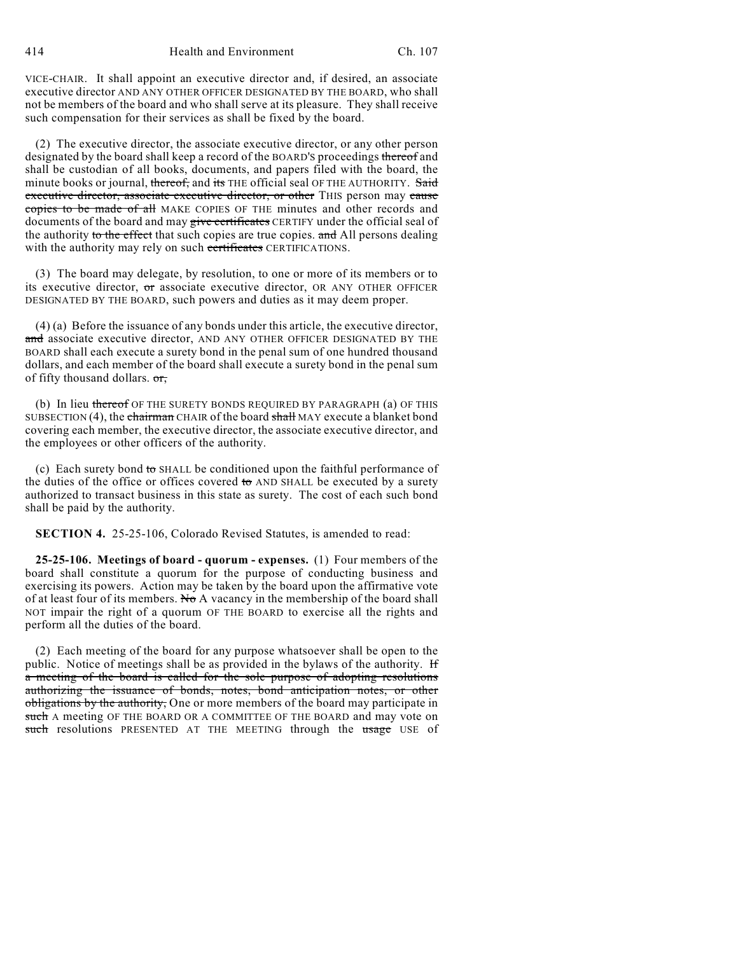VICE-CHAIR. It shall appoint an executive director and, if desired, an associate executive director AND ANY OTHER OFFICER DESIGNATED BY THE BOARD, who shall not be members of the board and who shall serve at its pleasure. They shall receive such compensation for their services as shall be fixed by the board.

(2) The executive director, the associate executive director, or any other person designated by the board shall keep a record of the BOARD's proceedings thereof and shall be custodian of all books, documents, and papers filed with the board, the minute books or journal, thereof, and its THE official seal OF THE AUTHORITY. Said executive director, associate executive director, or other THIS person may cause copies to be made of all MAKE COPIES OF THE minutes and other records and documents of the board and may give certificates CERTIFY under the official seal of the authority to the effect that such copies are true copies. and All persons dealing with the authority may rely on such certificates CERTIFICATIONS.

(3) The board may delegate, by resolution, to one or more of its members or to its executive director, or associate executive director, OR ANY OTHER OFFICER DESIGNATED BY THE BOARD, such powers and duties as it may deem proper.

(4) (a) Before the issuance of any bonds under this article, the executive director, and associate executive director, AND ANY OTHER OFFICER DESIGNATED BY THE BOARD shall each execute a surety bond in the penal sum of one hundred thousand dollars, and each member of the board shall execute a surety bond in the penal sum of fifty thousand dollars. or,

(b) In lieu thereof OF THE SURETY BONDS REQUIRED BY PARAGRAPH (a) OF THIS SUBSECTION (4), the chairman CHAIR of the board shall MAY execute a blanket bond covering each member, the executive director, the associate executive director, and the employees or other officers of the authority.

(c) Each surety bond to SHALL be conditioned upon the faithful performance of the duties of the office or offices covered to AND SHALL be executed by a surety authorized to transact business in this state as surety. The cost of each such bond shall be paid by the authority.

**SECTION 4.** 25-25-106, Colorado Revised Statutes, is amended to read:

**25-25-106. Meetings of board - quorum - expenses.** (1) Four members of the board shall constitute a quorum for the purpose of conducting business and exercising its powers. Action may be taken by the board upon the affirmative vote of at least four of its members. No A vacancy in the membership of the board shall NOT impair the right of a quorum OF THE BOARD to exercise all the rights and perform all the duties of the board.

(2) Each meeting of the board for any purpose whatsoever shall be open to the public. Notice of meetings shall be as provided in the bylaws of the authority. If a meeting of the board is called for the sole purpose of adopting resolutions authorizing the issuance of bonds, notes, bond anticipation notes, or other obligations by the authority, One or more members of the board may participate in such A meeting OF THE BOARD OR A COMMITTEE OF THE BOARD and may vote on such resolutions PRESENTED AT THE MEETING through the usage USE of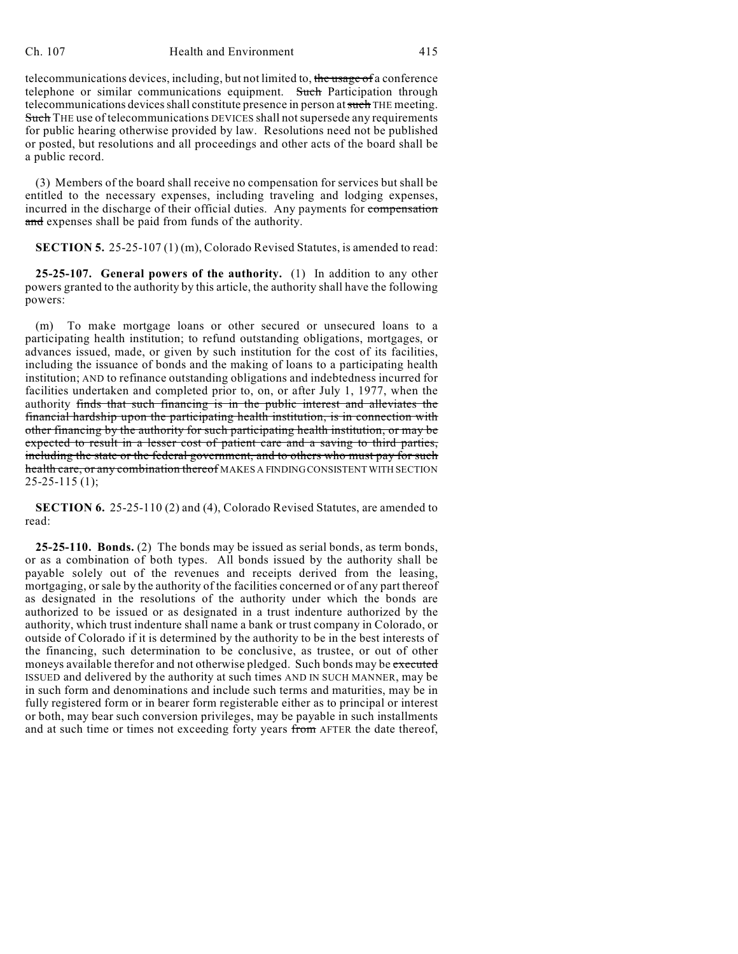#### Ch. 107 Health and Environment 415

telecommunications devices, including, but not limited to, the usage of a conference telephone or similar communications equipment. Such Participation through telecommunications devices shall constitute presence in person at such THE meeting. Such THE use of telecommunications DEVICES shall not supersede any requirements for public hearing otherwise provided by law. Resolutions need not be published or posted, but resolutions and all proceedings and other acts of the board shall be a public record.

(3) Members of the board shall receive no compensation for services but shall be entitled to the necessary expenses, including traveling and lodging expenses, incurred in the discharge of their official duties. Any payments for compensation and expenses shall be paid from funds of the authority.

**SECTION 5.** 25-25-107 (1) (m), Colorado Revised Statutes, is amended to read:

**25-25-107. General powers of the authority.** (1) In addition to any other powers granted to the authority by this article, the authority shall have the following powers:

(m) To make mortgage loans or other secured or unsecured loans to a participating health institution; to refund outstanding obligations, mortgages, or advances issued, made, or given by such institution for the cost of its facilities, including the issuance of bonds and the making of loans to a participating health institution; AND to refinance outstanding obligations and indebtedness incurred for facilities undertaken and completed prior to, on, or after July 1, 1977, when the authority finds that such financing is in the public interest and alleviates the financial hardship upon the participating health institution, is in connection with other financing by the authority for such participating health institution, or may be expected to result in a lesser cost of patient care and a saving to third parties, including the state or the federal government, and to others who must pay for such health care, or any combination thereof MAKES A FINDING CONSISTENT WITH SECTION  $25-25-115$  (1);

**SECTION 6.** 25-25-110 (2) and (4), Colorado Revised Statutes, are amended to read:

**25-25-110. Bonds.** (2) The bonds may be issued as serial bonds, as term bonds, or as a combination of both types. All bonds issued by the authority shall be payable solely out of the revenues and receipts derived from the leasing, mortgaging, or sale by the authority of the facilities concerned or of any part thereof as designated in the resolutions of the authority under which the bonds are authorized to be issued or as designated in a trust indenture authorized by the authority, which trust indenture shall name a bank or trust company in Colorado, or outside of Colorado if it is determined by the authority to be in the best interests of the financing, such determination to be conclusive, as trustee, or out of other moneys available therefor and not otherwise pledged. Such bonds may be executed ISSUED and delivered by the authority at such times AND IN SUCH MANNER, may be in such form and denominations and include such terms and maturities, may be in fully registered form or in bearer form registerable either as to principal or interest or both, may bear such conversion privileges, may be payable in such installments and at such time or times not exceeding forty years from AFTER the date thereof,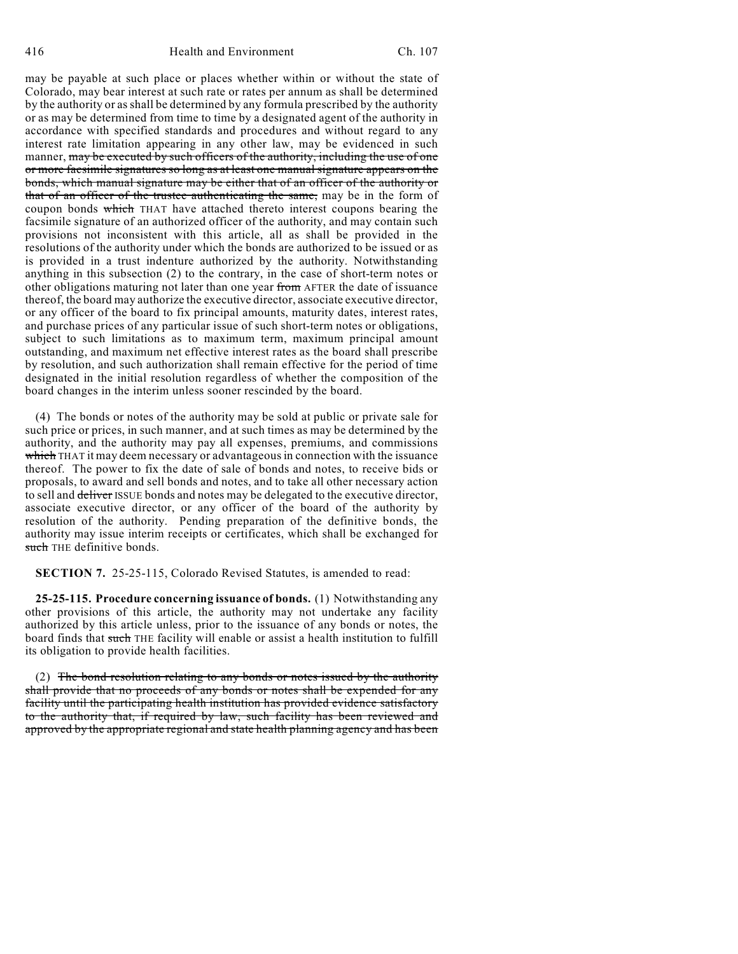416 Health and Environment Ch. 107

may be payable at such place or places whether within or without the state of Colorado, may bear interest at such rate or rates per annum as shall be determined by the authority or as shall be determined by any formula prescribed by the authority or as may be determined from time to time by a designated agent of the authority in accordance with specified standards and procedures and without regard to any interest rate limitation appearing in any other law, may be evidenced in such manner, may be executed by such officers of the authority, including the use of one or more facsimile signatures so long as at least one manual signature appears on the bonds, which manual signature may be either that of an officer of the authority or that of an officer of the trustee authenticating the same, may be in the form of coupon bonds which THAT have attached thereto interest coupons bearing the facsimile signature of an authorized officer of the authority, and may contain such provisions not inconsistent with this article, all as shall be provided in the resolutions of the authority under which the bonds are authorized to be issued or as is provided in a trust indenture authorized by the authority. Notwithstanding anything in this subsection (2) to the contrary, in the case of short-term notes or other obligations maturing not later than one year from AFTER the date of issuance thereof, the board may authorize the executive director, associate executive director, or any officer of the board to fix principal amounts, maturity dates, interest rates, and purchase prices of any particular issue of such short-term notes or obligations, subject to such limitations as to maximum term, maximum principal amount outstanding, and maximum net effective interest rates as the board shall prescribe by resolution, and such authorization shall remain effective for the period of time designated in the initial resolution regardless of whether the composition of the board changes in the interim unless sooner rescinded by the board.

(4) The bonds or notes of the authority may be sold at public or private sale for such price or prices, in such manner, and at such times as may be determined by the authority, and the authority may pay all expenses, premiums, and commissions which THAT it may deem necessary or advantageous in connection with the issuance thereof. The power to fix the date of sale of bonds and notes, to receive bids or proposals, to award and sell bonds and notes, and to take all other necessary action to sell and deliver ISSUE bonds and notes may be delegated to the executive director, associate executive director, or any officer of the board of the authority by resolution of the authority. Pending preparation of the definitive bonds, the authority may issue interim receipts or certificates, which shall be exchanged for such THE definitive bonds.

**SECTION 7.** 25-25-115, Colorado Revised Statutes, is amended to read:

**25-25-115. Procedure concerning issuance of bonds.** (1) Notwithstanding any other provisions of this article, the authority may not undertake any facility authorized by this article unless, prior to the issuance of any bonds or notes, the board finds that such THE facility will enable or assist a health institution to fulfill its obligation to provide health facilities.

(2) The bond resolution relating to any bonds or notes issued by the authority shall provide that no proceeds of any bonds or notes shall be expended for any facility until the participating health institution has provided evidence satisfactory to the authority that, if required by law, such facility has been reviewed and approved by the appropriate regional and state health planning agency and has been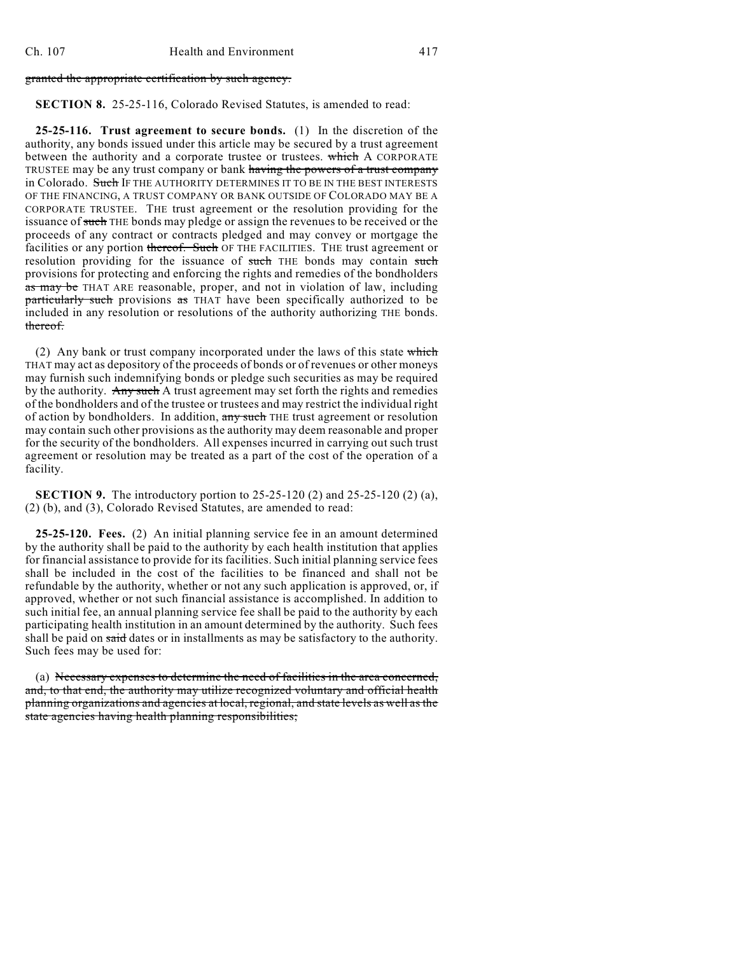#### granted the appropriate certification by such agency.

### **SECTION 8.** 25-25-116, Colorado Revised Statutes, is amended to read:

**25-25-116. Trust agreement to secure bonds.** (1) In the discretion of the authority, any bonds issued under this article may be secured by a trust agreement between the authority and a corporate trustee or trustees. which A CORPORATE TRUSTEE may be any trust company or bank having the powers of a trust company in Colorado. Such IF THE AUTHORITY DETERMINES IT TO BE IN THE BEST INTERESTS OF THE FINANCING, A TRUST COMPANY OR BANK OUTSIDE OF COLORADO MAY BE A CORPORATE TRUSTEE. THE trust agreement or the resolution providing for the issuance of such THE bonds may pledge or assign the revenues to be received or the proceeds of any contract or contracts pledged and may convey or mortgage the facilities or any portion thereof. Such OF THE FACILITIES. THE trust agreement or resolution providing for the issuance of such THE bonds may contain such provisions for protecting and enforcing the rights and remedies of the bondholders as may be THAT ARE reasonable, proper, and not in violation of law, including particularly such provisions as THAT have been specifically authorized to be included in any resolution or resolutions of the authority authorizing THE bonds. thereof.

(2) Any bank or trust company incorporated under the laws of this state which THAT may act as depository of the proceeds of bonds or of revenues or other moneys may furnish such indemnifying bonds or pledge such securities as may be required by the authority. Any such A trust agreement may set forth the rights and remedies of the bondholders and of the trustee or trustees and may restrict the individual right of action by bondholders. In addition, any such THE trust agreement or resolution may contain such other provisions as the authority may deem reasonable and proper for the security of the bondholders. All expenses incurred in carrying out such trust agreement or resolution may be treated as a part of the cost of the operation of a facility.

**SECTION 9.** The introductory portion to 25-25-120 (2) and 25-25-120 (2) (a), (2) (b), and (3), Colorado Revised Statutes, are amended to read:

**25-25-120. Fees.** (2) An initial planning service fee in an amount determined by the authority shall be paid to the authority by each health institution that applies for financial assistance to provide for its facilities. Such initial planning service fees shall be included in the cost of the facilities to be financed and shall not be refundable by the authority, whether or not any such application is approved, or, if approved, whether or not such financial assistance is accomplished. In addition to such initial fee, an annual planning service fee shall be paid to the authority by each participating health institution in an amount determined by the authority. Such fees shall be paid on said dates or in installments as may be satisfactory to the authority. Such fees may be used for:

(a) Necessary expenses to determine the need of facilities in the area concerned, and, to that end, the authority may utilize recognized voluntary and official health planning organizations and agencies at local, regional, and state levels as well as the state agencies having health planning responsibilities;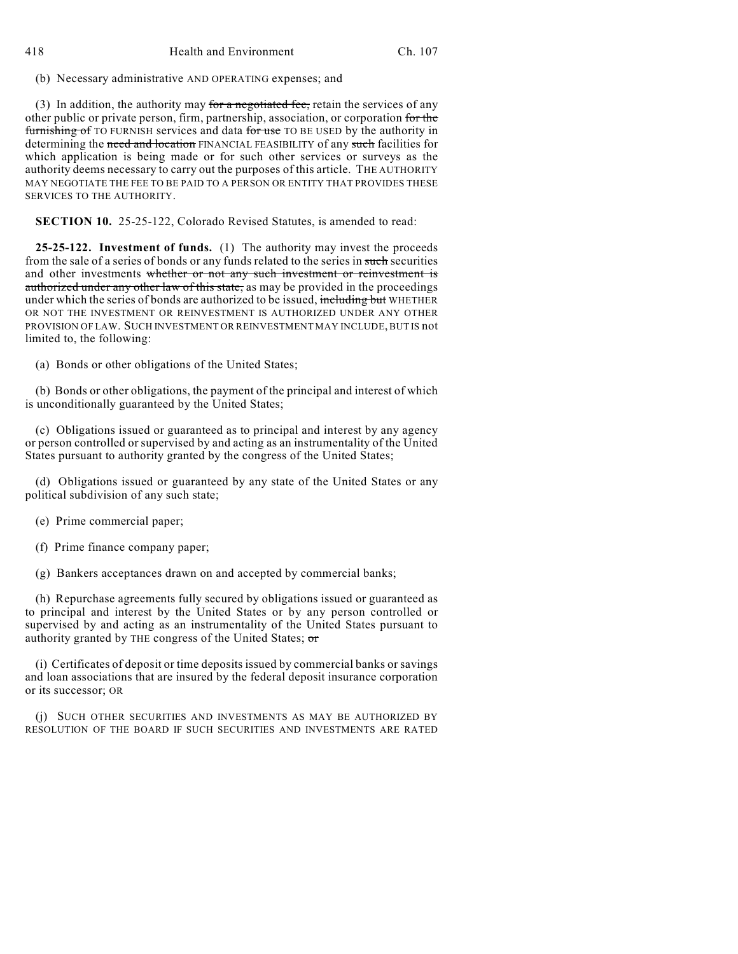418 Health and Environment Ch. 107

(b) Necessary administrative AND OPERATING expenses; and

(3) In addition, the authority may for a negotiated fee, retain the services of any other public or private person, firm, partnership, association, or corporation for the furnishing of TO FURNISH services and data for use TO BE USED by the authority in determining the need and location FINANCIAL FEASIBILITY of any such facilities for which application is being made or for such other services or surveys as the authority deems necessary to carry out the purposes of this article. THE AUTHORITY MAY NEGOTIATE THE FEE TO BE PAID TO A PERSON OR ENTITY THAT PROVIDES THESE SERVICES TO THE AUTHORITY.

**SECTION 10.** 25-25-122, Colorado Revised Statutes, is amended to read:

**25-25-122. Investment of funds.** (1) The authority may invest the proceeds from the sale of a series of bonds or any funds related to the series in such securities and other investments whether or not any such investment or reinvestment is authorized under any other law of this state, as may be provided in the proceedings under which the series of bonds are authorized to be issued, including but WHETHER OR NOT THE INVESTMENT OR REINVESTMENT IS AUTHORIZED UNDER ANY OTHER PROVISION OF LAW. SUCH INVESTMENT OR REINVESTMENT MAY INCLUDE, BUT IS not limited to, the following:

(a) Bonds or other obligations of the United States;

(b) Bonds or other obligations, the payment of the principal and interest of which is unconditionally guaranteed by the United States;

(c) Obligations issued or guaranteed as to principal and interest by any agency or person controlled or supervised by and acting as an instrumentality of the United States pursuant to authority granted by the congress of the United States;

(d) Obligations issued or guaranteed by any state of the United States or any political subdivision of any such state;

- (e) Prime commercial paper;
- (f) Prime finance company paper;

(g) Bankers acceptances drawn on and accepted by commercial banks;

(h) Repurchase agreements fully secured by obligations issued or guaranteed as to principal and interest by the United States or by any person controlled or supervised by and acting as an instrumentality of the United States pursuant to authority granted by THE congress of the United States;  $\sigma$ 

(i) Certificates of deposit or time deposits issued by commercial banks or savings and loan associations that are insured by the federal deposit insurance corporation or its successor; OR

(j) SUCH OTHER SECURITIES AND INVESTMENTS AS MAY BE AUTHORIZED BY RESOLUTION OF THE BOARD IF SUCH SECURITIES AND INVESTMENTS ARE RATED